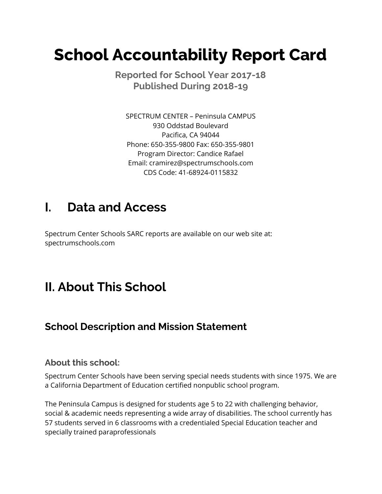# **School Accountability Report Card**

 **Reported for School Year 2017-18 Published During 2018-19**

 SPECTRUM CENTER – Peninsula CAMPUS 930 Oddstad Boulevard Pacifica, CA 94044 Phone: 650-355-9800 Fax: 650-355-9801 Program Director: Candice Rafael CDS Code: 41-68924-0115832 Email: [cramirez@spectrumschools.com](mailto:cramirez@spectrumschools.com)

## **I. Data and Access**

 Spectrum Center Schools SARC reports are available on our web site at: [spectrumschools.com](https://spectrumschools.com)

## **II. About This School**

### **School Description and Mission Statement**

#### **About this school:**

 Spectrum Center Schools have been serving special needs students with since 1975. We are a California Department of Education certified nonpublic school program.

 The Peninsula Campus is designed for students age 5 to 22 with challenging behavior, social & academic needs representing a wide array of disabilities. The school currently has 57 students served in 6 classrooms with a credentialed Special Education teacher and specially trained paraprofessionals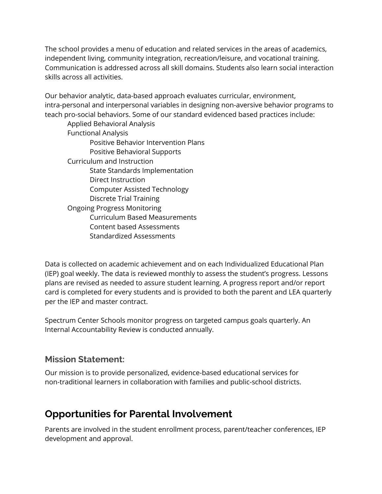The school provides a menu of education and related services in the areas of academics, independent living, community integration, recreation/leisure, and vocational training. Communication is addressed across all skill domains. Students also learn social interaction skills across all activities.

 Our behavior analytic, data-based approach evaluates curricular, environment, intra-personal and interpersonal variables in designing non-aversive behavior programs to teach pro-social behaviors. Some of our standard evidenced based practices include:

 Applied Behavioral Analysis Positive Behavior Intervention Plans Positive Behavioral Supports Curriculum and Instruction State Standards Implementation Computer Assisted Technology Discrete Trial Training Ongoing Progress Monitoring Curriculum Based Measurements Content based Assessments Functional Analysis Direct Instruction Standardized Assessments

 Data is collected on academic achievement and on each Individualized Educational Plan (IEP) goal weekly. The data is reviewed monthly to assess the student's progress. Lessons plans are revised as needed to assure student learning. A progress report and/or report card is completed for every students and is provided to both the parent and LEA quarterly per the IEP and master contract.

 Spectrum Center Schools monitor progress on targeted campus goals quarterly. An Internal Accountability Review is conducted annually.

#### **Mission Statement:**

 Our mission is to provide personalized, evidence-based educational services for non-traditional learners in collaboration with families and public-school districts.

### **Opportunities for Parental Involvement**

 Parents are involved in the student enrollment process, parent/teacher conferences, IEP development and approval.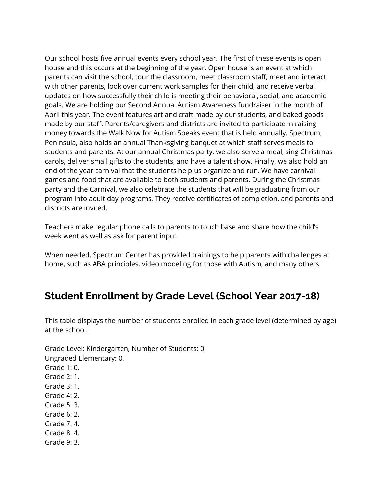Our school hosts five annual events every school year. The first of these events is open house and this occurs at the beginning of the year. Open house is an event at which parents can visit the school, tour the classroom, meet classroom staff, meet and interact with other parents, look over current work samples for their child, and receive verbal updates on how successfully their child is meeting their behavioral, social, and academic goals. We are holding our Second Annual Autism Awareness fundraiser in the month of April this year. The event features art and craft made by our students, and baked goods made by our staff. Parents/caregivers and districts are invited to participate in raising money towards the Walk Now for Autism Speaks event that is held annually. Spectrum, Peninsula, also holds an annual Thanksgiving banquet at which staff serves meals to students and parents. At our annual Christmas party, we also serve a meal, sing Christmas carols, deliver small gifts to the students, and have a talent show. Finally, we also hold an end of the year carnival that the students help us organize and run. We have carnival games and food that are available to both students and parents. During the Christmas party and the Carnival, we also celebrate the students that will be graduating from our program into adult day programs. They receive certificates of completion, and parents and districts are invited.

 Teachers make regular phone calls to parents to touch base and share how the child's week went as well as ask for parent input.

 When needed, Spectrum Center has provided trainings to help parents with challenges at home, such as ABA principles, video modeling for those with Autism, and many others.

### **Student Enrollment by Grade Level (School Year 2017-18)**

 This table displays the number of students enrolled in each grade level (determined by age) at the school.

 Grade Level: Kindergarten, Number of Students: 0. Ungraded Elementary: 0.

- Grade 1: 0. Grade 2: 1. Grade 3: 1.
- Grade 4: 2.
- Grade 5: 3.
- Grade 6: 2.
- Grade 7: 4.
- Grade 8: 4.
- Grade 9: 3.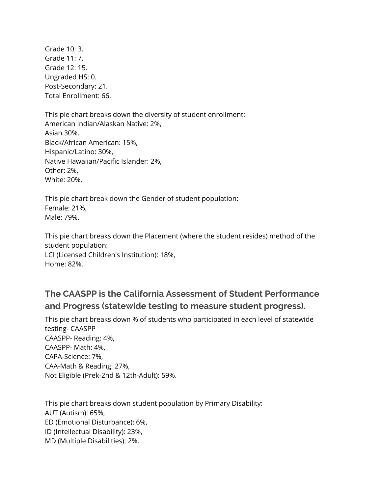Grade 10: 3. Grade 11: 7. Grade 12: 15. Ungraded HS: 0. Post-Secondary: 21. Total Enrollment: 66.

 This pie chart breaks down the diversity of student enrollment: American Indian/Alaskan Native: 2%, Black/African American: 15%, Native Hawaiian/Pacific Islander: 2%, Asian 30%, Hispanic/Latino: 30%, Other: 2%, White: 20%.

 This pie chart break down the Gender of student population: Female: 21%, Male: 79%.

 This pie chart breaks down the Placement (where the student resides) method of the LCI (Licensed Children's Institution): 18%, student population: Home: 82%.

#### **The CAASPP is the California Assessment of Student Performance and Progress (statewide testing to measure student progress).**

 This pie chart breaks down % of students who participated in each level of statewide CAASPP- Reading: 4%, CAASPP- Math: 4%, CAA-Math & Reading: 27%, Not Eligible (Prek-2nd & 12th-Adult): 59%. testing- CAASPP CAPA-Science: 7%,

 This pie chart breaks down student population by Primary Disability: AUT (Autism): 65%, ID (Intellectual Disability): 23%, MD (Multiple Disabilities): 2%,ED (Emotional Disturbance): 6%,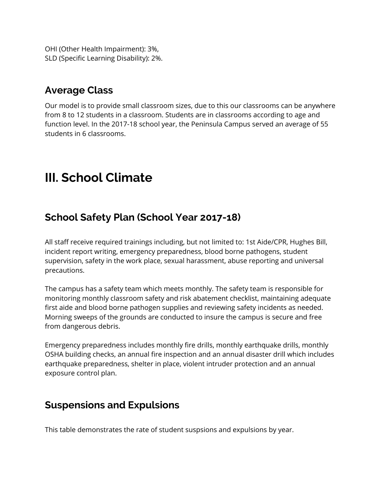OHI (Other Health Impairment): 3%, SLD (Specific Learning Disability): 2%.

### **Average Class**

 Our model is to provide small classroom sizes, due to this our classrooms can be anywhere from 8 to 12 students in a classroom. Students are in classrooms according to age and function level. In the 2017-18 school year, the Peninsula Campus served an average of 55 students in 6 classrooms.

## **III. School Climate**

#### **School Safety Plan (School Year 2017-18)**

 All staff receive required trainings including, but not limited to: 1st Aide/CPR, Hughes Bill, incident report writing, emergency preparedness, blood borne pathogens, student supervision, safety in the work place, sexual harassment, abuse reporting and universal precautions.

 The campus has a safety team which meets monthly. The safety team is responsible for monitoring monthly classroom safety and risk abatement checklist, maintaining adequate first aide and blood borne pathogen supplies and reviewing safety incidents as needed. Morning sweeps of the grounds are conducted to insure the campus is secure and free from dangerous debris.

 Emergency preparedness includes monthly fire drills, monthly earthquake drills, monthly OSHA building checks, an annual fire inspection and an annual disaster drill which includes earthquake preparedness, shelter in place, violent intruder protection and an annual exposure control plan.

#### **Suspensions and Expulsions**

This table demonstrates the rate of student suspsions and expulsions by year.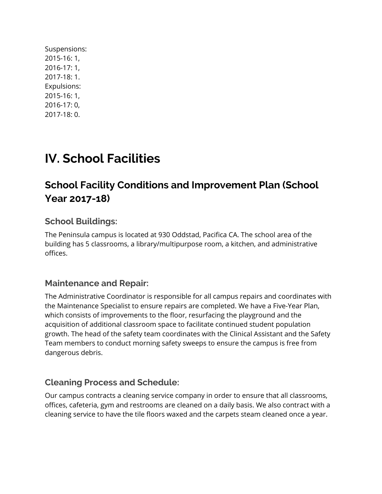Suspensions: 2015-16: 1, 2016-17: 1, 2017-18: 1. Expulsions: 2015-16: 1, 2016-17: 0, 2017-18: 0.

## **IV. School Facilities**

### **School Facility Conditions and Improvement Plan (School Year 2017-18)**

#### **School Buildings:**

 The Peninsula campus is located at 930 Oddstad, Pacifica CA. The school area of the building has 5 classrooms, a library/multipurpose room, a kitchen, and administrative offices.

#### **Maintenance and Repair:**

 The Administrative Coordinator is responsible for all campus repairs and coordinates with the Maintenance Specialist to ensure repairs are completed. We have a Five-Year Plan, which consists of improvements to the floor, resurfacing the playground and the acquisition of additional classroom space to facilitate continued student population growth. The head of the safety team coordinates with the Clinical Assistant and the Safety Team members to conduct morning safety sweeps to ensure the campus is free from dangerous debris.

#### **Cleaning Process and Schedule:**

 Our campus contracts a cleaning service company in order to ensure that all classrooms, offices, cafeteria, gym and restrooms are cleaned on a daily basis. We also contract with a cleaning service to have the tile floors waxed and the carpets steam cleaned once a year.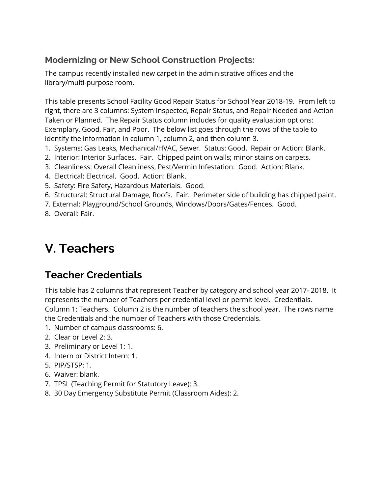#### **Modernizing or New School Construction Projects:**

 The campus recently installed new carpet in the administrative offices and the library/multi-purpose room.

 This table presents School Facility Good Repair Status for School Year 2018-19. From left to right, there are 3 columns: System Inspected, Repair Status, and Repair Needed and Action Taken or Planned. The Repair Status column includes for quality evaluation options: Exemplary, Good, Fair, and Poor. The below list goes through the rows of the table to identify the information in column 1, column 2, and then column 3.

- 1. Systems: Gas Leaks, Mechanical/HVAC, Sewer. Status: Good. Repair or Action: Blank.
- 2. Interior: Interior Surfaces. Fair. Chipped paint on walls; minor stains on carpets.
- 3. Cleanliness: Overall Cleanliness, Pest/Vermin Infestation. Good. Action: Blank.
- 4. Electrical: Electrical. Good. Action: Blank.
- 5. Safety: Fire Safety, Hazardous Materials. Good.
- 6. Structural: Structural Damage, Roofs. Fair. Perimeter side of building has chipped paint.
- 7. External: Playground/School Grounds, Windows/Doors/Gates/Fences. Good.
- 8. Overall: Fair.

## **V. Teachers**

### **Teacher Credentials**

 This table has 2 columns that represent Teacher by category and school year 2017- 2018. It represents the number of Teachers per credential level or permit level. Credentials. Column 1: Teachers. Column 2 is the number of teachers the school year. The rows name the Credentials and the number of Teachers with those Credentials.

- 1. Number of campus classrooms: 6.
- 2. Clear or Level 2: 3.
- 3. Preliminary or Level 1: 1.
- 4. Intern or District Intern: 1.
- 5. PIP/STSP: 1.
- 6. Waiver: blank.
- 7. TPSL (Teaching Permit for Statutory Leave): 3.
- 8. 30 Day Emergency Substitute Permit (Classroom Aides): 2.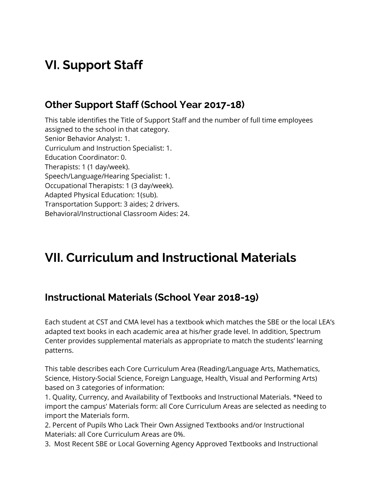## **VI. Support Staff**

#### **Other Support Staff (School Year 2017-18)**

 This table identifies the Title of Support Staff and the number of full time employees assigned to the school in that category. Senior Behavior Analyst: 1. Curriculum and Instruction Specialist: 1. Therapists: 1 (1 day/week). Speech/Language/Hearing Specialist: 1. Occupational Therapists: 1 (3 day/week). Adapted Physical Education: 1(sub). Transportation Support: 3 aides; 2 drivers. Behavioral/Instructional Classroom Aides: 24. Education Coordinator: 0.

## **VII. Curriculum and Instructional Materials**

### **Instructional Materials (School Year 2018-19)**

 Each student at CST and CMA level has a textbook which matches the SBE or the local LEA's adapted text books in each academic area at his/her grade level. In addition, Spectrum Center provides supplemental materials as appropriate to match the students' learning patterns.

 This table describes each Core Curriculum Area (Reading/Language Arts, Mathematics, Science, History-Social Science, Foreign Language, Health, Visual and Performing Arts) based on 3 categories of information:

 1. Quality, Currency, and Availability of Textbooks and Instructional Materials. \*Need to import the campus' Materials form: all Core Curriculum Areas are selected as needing to import the Materials form.

 2. Percent of Pupils Who Lack Their Own Assigned Textbooks and/or Instructional Materials: all Core Curriculum Areas are 0%.

3. Most Recent SBE or Local Governing Agency Approved Textbooks and Instructional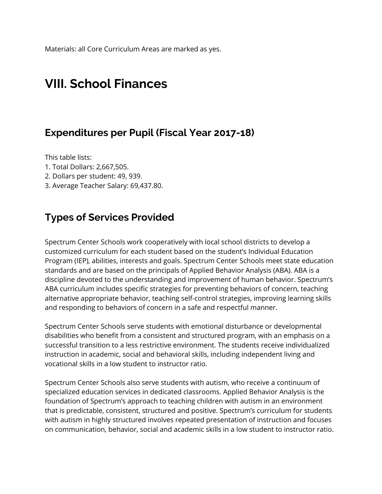Materials: all Core Curriculum Areas are marked as yes.

### **VIII. School Finances**

#### **Expenditures per Pupil (Fiscal Year 2017-18)**

This table lists:

- 1. Total Dollars: 2,667,505.
- 2. Dollars per student: 49, 939.
- 3. Average Teacher Salary: [69,437.80.](https://69,437.80)

#### **Types of Services Provided**

 Spectrum Center Schools work cooperatively with local school districts to develop a customized curriculum for each student based on the student's Individual Education Program (IEP), abilities, interests and goals. Spectrum Center Schools meet state education standards and are based on the principals of Applied Behavior Analysis (ABA). ABA is a discipline devoted to the understanding and improvement of human behavior. Spectrum's ABA curriculum includes specific strategies for preventing behaviors of concern, teaching alternative appropriate behavior, teaching self-control strategies, improving learning skills and responding to behaviors of concern in a safe and respectful manner.

 Spectrum Center Schools serve students with emotional disturbance or developmental disabilities who benefit from a consistent and structured program, with an emphasis on a successful transition to a less restrictive environment. The students receive individualized instruction in academic, social and behavioral skills, including independent living and vocational skills in a low student to instructor ratio.

 Spectrum Center Schools also serve students with autism, who receive a continuum of specialized education services in dedicated classrooms. Applied Behavior Analysis is the foundation of Spectrum's approach to teaching children with autism in an environment that is predictable, consistent, structured and positive. Spectrum's curriculum for students with autism in highly structured involves repeated presentation of instruction and focuses on communication, behavior, social and academic skills in a low student to instructor ratio.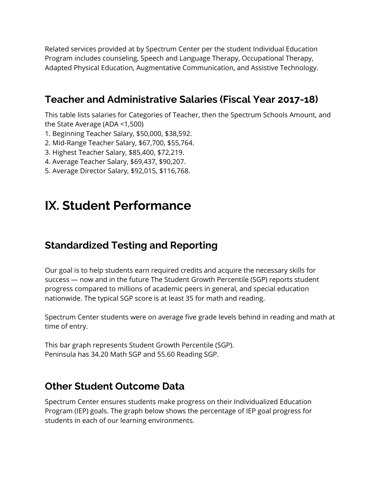Related services provided at by Spectrum Center per the student Individual Education Program includes counseling, Speech and Language Therapy, Occupational Therapy, Adapted Physical Education, Augmentative Communication, and Assistive Technology.

### **Teacher and Administrative Salaries (Fiscal Year 2017-18)**

 This table lists salaries for Categories of Teacher, then the Spectrum Schools Amount, and the State Average (ADA <1,500)

- 1. Beginning Teacher Salary, \$50,000, \$38,592.
- 2. Mid-Range Teacher Salary, \$67,700, \$55,764.
- 3. Highest Teacher Salary, \$85,400, \$72,219.
- 4. Average Teacher Salary, \$69,437, \$90,207.
- 5. Average Director Salary, \$92,015, \$116,768.

## **IX. Student Performance**

### **Standardized Testing and Reporting**

 Our goal is to help students earn required credits and acquire the necessary skills for success — now and in the future The Student Growth Percentile (SGP) reports student progress compared to millions of academic peers in general, and special education nationwide. The typical SGP score is at least 35 for math and reading.

 Spectrum Center students were on average five grade levels behind in reading and math at time of entry.

 This bar graph represents Student Growth Percentile (SGP). Peninsula has 34.20 Math SGP and 55.60 Reading SGP.

#### **Other Student Outcome Data**

 Spectrum Center ensures students make progress on their Individualized Education Program (IEP) goals. The graph below shows the percentage of IEP goal progress for students in each of our learning environments.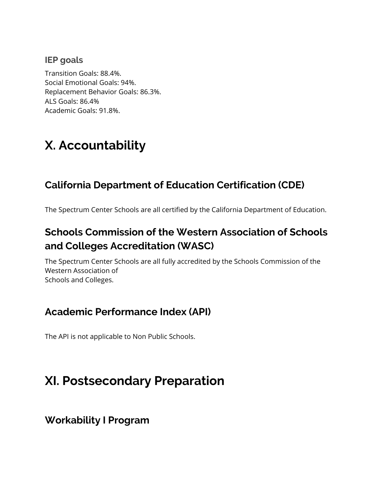#### **IEP goals**

 Transition Goals: 88.4%. Social Emotional Goals: 94%. Replacement Behavior Goals: 86.3%. ALS Goals: 86.4% Academic Goals: 91.8%.

## **X. Accountability**

### **California Department of Education Certification (CDE)**

The Spectrum Center Schools are all certified by the California Department of Education.

### **Schools Commission of the Western Association of Schools and Colleges Accreditation (WASC)**

 The Spectrum Center Schools are all fully accredited by the Schools Commission of the Schools and Colleges. Western Association of

### **Academic Performance Index (API)**

The API is not applicable to Non Public Schools.

## **XI. Postsecondary Preparation**

#### **Workability I Program**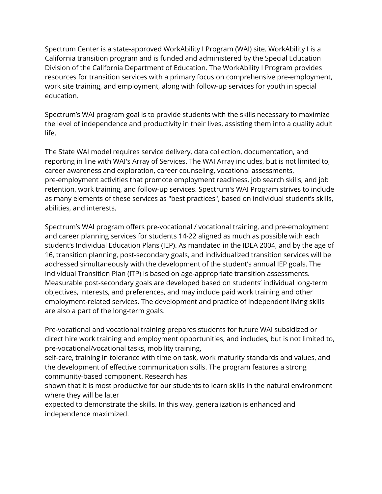Spectrum Center is a state-approved WorkAbility I Program (WAI) site. WorkAbility I is a California transition program and is funded and administered by the Special Education Division of the California Department of Education. The WorkAbility I Program provides resources for transition services with a primary focus on comprehensive pre-employment, work site training, and employment, along with follow-up services for youth in special education.

 Spectrum's WAI program goal is to provide students with the skills necessary to maximize the level of independence and productivity in their lives, assisting them into a quality adult life.

 The State WAI model requires service delivery, data collection, documentation, and reporting in line with WAI's Array of Services. The WAI Array includes, but is not limited to, career awareness and exploration, career counseling, vocational assessments, pre-employment activities that promote employment readiness, job search skills, and job retention, work training, and follow-up services. Spectrum's WAI Program strives to include as many elements of these services as "best practices", based on individual student's skills, abilities, and interests.

 Spectrum's WAI program offers pre-vocational / vocational training, and pre-employment and career planning services for students 14-22 aligned as much as possible with each student's Individual Education Plans (IEP). As mandated in the IDEA 2004, and by the age of 16, transition planning, post-secondary goals, and individualized transition services will be addressed simultaneously with the development of the student's annual IEP goals. The Individual Transition Plan (ITP) is based on age-appropriate transition assessments. Measurable post-secondary goals are developed based on students' individual long-term objectives, interests, and preferences, and may include paid work training and other employment-related services. The development and practice of independent living skills are also a part of the long-term goals.

 Pre-vocational and vocational training prepares students for future WAI subsidized or direct hire work training and employment opportunities, and includes, but is not limited to, pre-vocational/vocational tasks, mobility training,

 self-care, training in tolerance with time on task, work maturity standards and values, and the development of effective communication skills. The program features a strong community-based component. Research has

 shown that it is most productive for our students to learn skills in the natural environment where they will be later

 expected to demonstrate the skills. In this way, generalization is enhanced and independence maximized.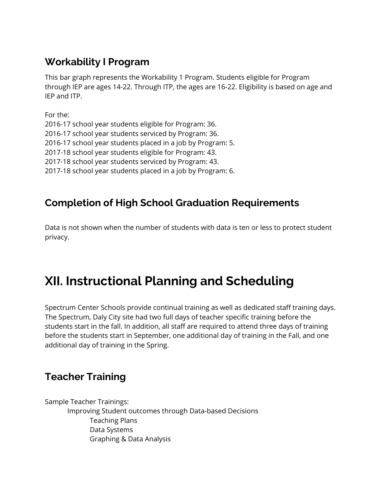### **Workability I Program**

 This bar graph represents the Workability 1 Program. Students eligible for Program through IEP are ages 14-22. Through ITP, the ages are 16-22. Eligibility is based on age and IEP and ITP.

 2016-17 school year students eligible for Program: 36. 2016-17 school year students placed in a job by Program: 5. 2017-18 school year students eligible for Program: 43. 2017-18 school year students placed in a job by Program: 6. For the: 2016-17 school year students serviced by Program: 36. 2017-18 school year students serviced by Program: 43.

### **Completion of High School Graduation Requirements**

 Data is not shown when the number of students with data is ten or less to protect student privacy.

## **XII. Instructional Planning and Scheduling**

 Spectrum Center Schools provide continual training as well as dedicated staff training days. The Spectrum, Daly City site had two full days of teacher specific training before the students start in the fall. In addition, all staff are required to attend three days of training before the students start in September, one additional day of training in the Fall, and one additional day of training in the Spring.

### **Teacher Training**

 Sample Teacher Trainings: Improving Student outcomes through Data-based Decisions Graphing & Data AnalysisTeaching Plans Data Systems